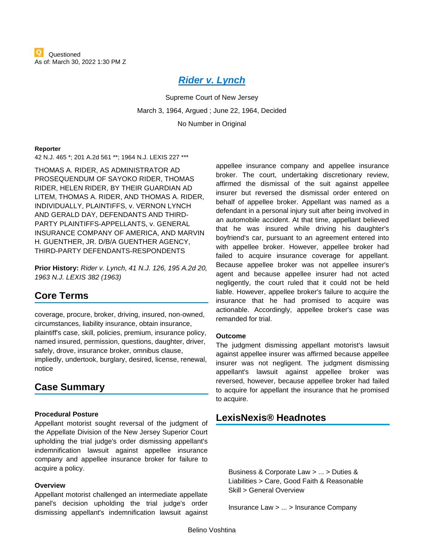# *[Rider v. Lynch](https://advance.lexis.com/api/document?collection=cases&id=urn:contentItem:3RRM-XXM0-003C-N4XS-00000-00&context=1000516)*

Supreme Court of New Jersey March 3, 1964, Argued ; June 22, 1964, Decided No Number in Original

#### **Reporter**

42 N.J. 465 \*; 201 A.2d 561 \*\*; 1964 N.J. LEXIS 227 \*\*\*

THOMAS A. RIDER, AS ADMINISTRATOR AD PROSEQUENDUM OF SAYOKO RIDER, THOMAS RIDER, HELEN RIDER, BY THEIR GUARDIAN AD LITEM, THOMAS A. RIDER, AND THOMAS A. RIDER, INDIVIDUALLY, PLAINTIFFS, v. VERNON LYNCH AND GERALD DAY, DEFENDANTS AND THIRD-PARTY PLAINTIFFS-APPELLANTS, v. GENERAL INSURANCE COMPANY OF AMERICA, AND MARVIN H. GUENTHER, JR. D/B/A GUENTHER AGENCY, THIRD-PARTY DEFENDANTS-RESPONDENTS

**Prior History:** *Rider v. Lynch, 41 N.J. 126, 195 A.2d 20, 1963 N.J. LEXIS 382 (1963)*

## **Core Terms**

coverage, procure, broker, driving, insured, non-owned, circumstances, liability insurance, obtain insurance, plaintiff's case, skill, policies, premium, insurance policy, named insured, permission, questions, daughter, driver, safely, drove, insurance broker, omnibus clause, impliedly, undertook, burglary, desired, license, renewal, notice

## **Case Summary**

#### **Procedural Posture**

Appellant motorist sought reversal of the judgment of the Appellate Division of the New Jersey Superior Court upholding the trial judge's order dismissing appellant's indemnification lawsuit against appellee insurance company and appellee insurance broker for failure to acquire a policy.

#### **Overview**

Appellant motorist challenged an intermediate appellate panel's decision upholding the trial judge's order dismissing appellant's indemnification lawsuit against

appellee insurance company and appellee insurance broker. The court, undertaking discretionary review, affirmed the dismissal of the suit against appellee insurer but reversed the dismissal order entered on behalf of appellee broker. Appellant was named as a defendant in a personal injury suit after being involved in an automobile accident. At that time, appellant believed that he was insured while driving his daughter's boyfriend's car, pursuant to an agreement entered into with appellee broker. However, appellee broker had failed to acquire insurance coverage for appellant. Because appellee broker was not appellee insurer's agent and because appellee insurer had not acted negligently, the court ruled that it could not be held liable. However, appellee broker's failure to acquire the insurance that he had promised to acquire was actionable. Accordingly, appellee broker's case was remanded for trial.

#### **Outcome**

The judgment dismissing appellant motorist's lawsuit against appellee insurer was affirmed because appellee insurer was not negligent. The judgment dismissing appellant's lawsuit against appellee broker was reversed, however, because appellee broker had failed to acquire for appellant the insurance that he promised to acquire.

## **LexisNexis® Headnotes**

<span id="page-0-0"></span>Business & Corporate Law > ... > Duties & Liabilities > Care, Good Faith & Reasonable Skill > General Overview

Insurance Law > ... > Insurance Company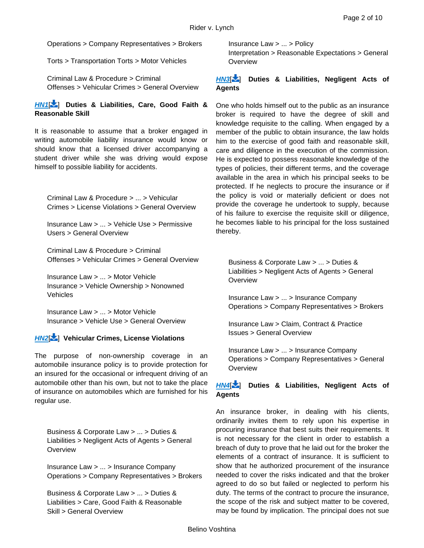Operations > Company Representatives > Brokers

Torts > Transportation Torts > Motor Vehicles

Criminal Law & Procedure > Criminal Offenses > Vehicular Crimes > General Overview

### *[HN1](https://advance.lexis.com/api/document?collection=cases&id=urn:contentItem:3RRM-XXM0-003C-N4XS-00000-00&context=1000516&link=LNHNREFclscc1)*[ [\]](#page-4-0) **Duties & Liabilities, Care, Good Faith & Reasonable Skill**

It is reasonable to assume that a broker engaged in writing automobile liability insurance would know or should know that a licensed driver accompanying a student driver while she was driving would expose himself to possible liability for accidents.

<span id="page-1-0"></span>Criminal Law & Procedure > ... > Vehicular Crimes > License Violations > General Overview

Insurance Law > ... > Vehicle Use > Permissive Users > General Overview

Criminal Law & Procedure > Criminal Offenses > Vehicular Crimes > General Overview

Insurance Law > ... > Motor Vehicle Insurance > Vehicle Ownership > Nonowned Vehicles

Insurance Law > ... > Motor Vehicle Insurance > Vehicle Use > General Overview

### *[HN2](https://advance.lexis.com/api/document?collection=cases&id=urn:contentItem:3RRM-XXM0-003C-N4XS-00000-00&context=1000516&link=LNHNREFclscc2)*[ [\]](#page-5-0) **Vehicular Crimes, License Violations**

The purpose of non-ownership coverage in an automobile insurance policy is to provide protection for an insured for the occasional or infrequent driving of an automobile other than his own, but not to take the place of insurance on automobiles which are furnished for his regular use.

<span id="page-1-1"></span>Business & Corporate Law > ... > Duties & Liabilities > Negligent Acts of Agents > General **Overview** 

Insurance Law > ... > Insurance Company Operations > Company Representatives > Brokers

Business & Corporate Law > ... > Duties & Liabilities > Care, Good Faith & Reasonable Skill > General Overview

Insurance Law > ... > Policy Interpretation > Reasonable Expectations > General **Overview** 

### *[HN3](https://advance.lexis.com/api/document?collection=cases&id=urn:contentItem:3RRM-XXM0-003C-N4XS-00000-00&context=1000516&link=LNHNREFclscc3)*[ [\]](#page-6-0) **Duties & Liabilities, Negligent Acts of Agents**

One who holds himself out to the public as an insurance broker is required to have the degree of skill and knowledge requisite to the calling. When engaged by a member of the public to obtain insurance, the law holds him to the exercise of good faith and reasonable skill, care and diligence in the execution of the commission. He is expected to possess reasonable knowledge of the types of policies, their different terms, and the coverage available in the area in which his principal seeks to be protected. If he neglects to procure the insurance or if the policy is void or materially deficient or does not provide the coverage he undertook to supply, because of his failure to exercise the requisite skill or diligence, he becomes liable to his principal for the loss sustained thereby.

<span id="page-1-2"></span>Business & Corporate Law > ... > Duties & Liabilities > Negligent Acts of Agents > General **Overview** 

Insurance Law > ... > Insurance Company Operations > Company Representatives > Brokers

Insurance Law > Claim, Contract & Practice Issues > General Overview

Insurance Law > ... > Insurance Company Operations > Company Representatives > General **Overview** 

### *[HN4](https://advance.lexis.com/api/document?collection=cases&id=urn:contentItem:3RRM-XXM0-003C-N4XS-00000-00&context=1000516&link=LNHNREFclscc4)*[ [\]](#page-6-1) **Duties & Liabilities, Negligent Acts of Agents**

An insurance broker, in dealing with his clients, ordinarily invites them to rely upon his expertise in procuring insurance that best suits their requirements. It is not necessary for the client in order to establish a breach of duty to prove that he laid out for the broker the elements of a contract of insurance. It is sufficient to show that he authorized procurement of the insurance needed to cover the risks indicated and that the broker agreed to do so but failed or neglected to perform his duty. The terms of the contract to procure the insurance, the scope of the risk and subject matter to be covered, may be found by implication. The principal does not sue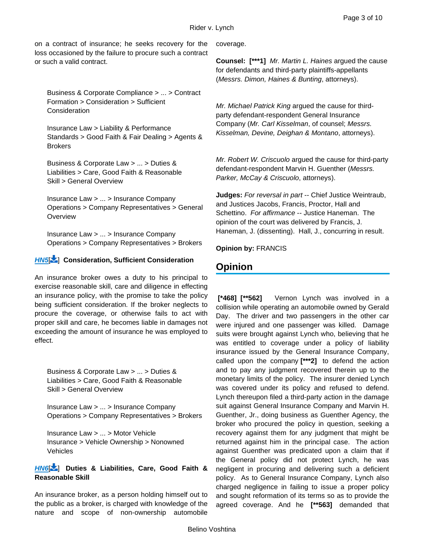<span id="page-2-0"></span>on a contract of insurance; he seeks recovery for the loss occasioned by the failure to procure such a contract or such a valid contract.

Business & Corporate Compliance > ... > Contract Formation > Consideration > Sufficient **Consideration** 

Insurance Law > Liability & Performance Standards > Good Faith & Fair Dealing > Agents & **Brokers** 

Business & Corporate Law > ... > Duties & Liabilities > Care, Good Faith & Reasonable Skill > General Overview

Insurance Law > ... > Insurance Company Operations > Company Representatives > General **Overview** 

Insurance Law > ... > Insurance Company Operations > Company Representatives > Brokers

### *[HN5](https://advance.lexis.com/api/document?collection=cases&id=urn:contentItem:3RRM-XXM0-003C-N4XS-00000-00&context=1000516&link=LNHNREFclscc5)*[ [\]](#page-7-0) **Consideration, Sufficient Consideration**

An insurance broker owes a duty to his principal to exercise reasonable skill, care and diligence in effecting an insurance policy, with the promise to take the policy being sufficient consideration. If the broker neglects to procure the coverage, or otherwise fails to act with proper skill and care, he becomes liable in damages not exceeding the amount of insurance he was employed to effect.

<span id="page-2-1"></span>Business & Corporate Law > ... > Duties & Liabilities > Care, Good Faith & Reasonable Skill > General Overview

Insurance Law > ... > Insurance Company Operations > Company Representatives > Brokers

Insurance Law > ... > Motor Vehicle Insurance > Vehicle Ownership > Nonowned Vehicles

### *[HN6](https://advance.lexis.com/api/document?collection=cases&id=urn:contentItem:3RRM-XXM0-003C-N4XS-00000-00&context=1000516&link=LNHNREFclscc6)*[ [\]](#page-8-0) **Duties & Liabilities, Care, Good Faith & Reasonable Skill**

An insurance broker, as a person holding himself out to the public as a broker, is charged with knowledge of the nature and scope of non-ownership automobile coverage.

**Counsel: [\*\*\*1]** *Mr. Martin L. Haines* argued the cause for defendants and third-party plaintiffs-appellants (*Messrs. Dimon, Haines & Bunting*, attorneys).

*Mr. Michael Patrick King* argued the cause for thirdparty defendant-respondent General Insurance Company (*Mr. Carl Kisselman*, of counsel; *Messrs. Kisselman, Devine, Deighan & Montano*, attorneys).

*Mr. Robert W. Criscuolo* argued the cause for third-party defendant-respondent Marvin H. Guenther (*Messrs. Parker, McCay & Criscuolo*, attorneys).

**Judges:** *For reversal in part* -- Chief Justice Weintraub, and Justices Jacobs, Francis, Proctor, Hall and Schettino. *For affirmance* -- Justice Haneman. The opinion of the court was delivered by Francis, J. Haneman, J. (dissenting). Hall, J., concurring in result.

**Opinion by:** FRANCIS

# **Opinion**

**[\*468] [\*\*562]** Vernon Lynch was involved in a collision while operating an automobile owned by Gerald Day. The driver and two passengers in the other car were injured and one passenger was killed. Damage suits were brought against Lynch who, believing that he was entitled to coverage under a policy of liability insurance issued by the General Insurance Company, called upon the company **[\*\*\*2]** to defend the action and to pay any judgment recovered therein up to the monetary limits of the policy. The insurer denied Lynch was covered under its policy and refused to defend. Lynch thereupon filed a third-party action in the damage suit against General Insurance Company and Marvin H. Guenther, Jr., doing business as Guenther Agency, the broker who procured the policy in question, seeking a recovery against them for any judgment that might be returned against him in the principal case. The action against Guenther was predicated upon a claim that if the General policy did not protect Lynch, he was negligent in procuring and delivering such a deficient policy. As to General Insurance Company, Lynch also charged negligence in failing to issue a proper policy and sought reformation of its terms so as to provide the agreed coverage. And he **[\*\*563]** demanded that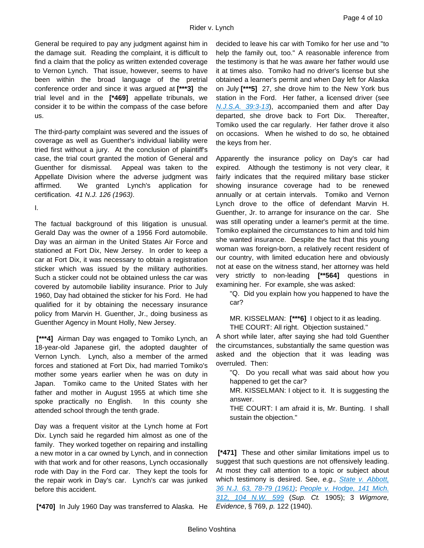General be required to pay any judgment against him in the damage suit. Reading the complaint, it is difficult to find a claim that the policy as written extended coverage to Vernon Lynch. That issue, however, seems to have been within the broad language of the pretrial conference order and since it was argued at **[\*\*\*3]** the trial level and in the **[\*469]** appellate tribunals, we consider it to be within the compass of the case before us.

The third-party complaint was severed and the issues of coverage as well as Guenther's individual liability were tried first without a jury. At the conclusion of plaintiff's case, the trial court granted the motion of General and Guenther for dismissal. Appeal was taken to the Appellate Division where the adverse judgment was affirmed. We granted Lynch's application for certification. *41 N.J. 126 (1963)*.

I.

The factual background of this litigation is unusual. Gerald Day was the owner of a 1956 Ford automobile. Day was an airman in the United States Air Force and stationed at Fort Dix, New Jersey. In order to keep a car at Fort Dix, it was necessary to obtain a registration sticker which was issued by the military authorities. Such a sticker could not be obtained unless the car was covered by automobile liability insurance. Prior to July 1960, Day had obtained the sticker for his Ford. He had qualified for it by obtaining the necessary insurance policy from Marvin H. Guenther, Jr., doing business as Guenther Agency in Mount Holly, New Jersey.

**[\*\*\*4]** Airman Day was engaged to Tomiko Lynch, an 18-year-old Japanese girl, the adopted daughter of Vernon Lynch. Lynch, also a member of the armed forces and stationed at Fort Dix, had married Tomiko's mother some years earlier when he was on duty in Japan. Tomiko came to the United States with her father and mother in August 1955 at which time she spoke practically no English. In this county she attended school through the tenth grade.

Day was a frequent visitor at the Lynch home at Fort Dix. Lynch said he regarded him almost as one of the family. They worked together on repairing and installing a new motor in a car owned by Lynch, and in connection with that work and for other reasons, Lynch occasionally rode with Day in the Ford car. They kept the tools for the repair work in Day's car. Lynch's car was junked before this accident.

**[\*470]** In July 1960 Day was transferred to Alaska. He

decided to leave his car with Tomiko for her use and "to help the family out, too." A reasonable inference from the testimony is that he was aware her father would use it at times also. Tomiko had no driver's license but she obtained a learner's permit and when Day left for Alaska on July **[\*\*\*5]** 27, she drove him to the New York bus station in the Ford. Her father, a licensed driver (see *[N.J.S.A.](https://advance.lexis.com/api/document?collection=statutes-legislation&id=urn:contentItem:63FM-24J3-CH1B-T46H-00000-00&context=1000516) [39:3-13](https://advance.lexis.com/api/document?collection=statutes-legislation&id=urn:contentItem:63FM-24J3-CH1B-T46H-00000-00&context=1000516)*), accompanied them and after Day departed, she drove back to Fort Dix. Thereafter, Tomiko used the car regularly. Her father drove it also on occasions. When he wished to do so, he obtained the keys from her.

Apparently the insurance policy on Day's car had expired. Although the testimony is not very clear, it fairly indicates that the required military base sticker showing insurance coverage had to be renewed annually or at certain intervals. Tomiko and Vernon Lynch drove to the office of defendant Marvin H. Guenther, Jr. to arrange for insurance on the car. She was still operating under a learner's permit at the time. Tomiko explained the circumstances to him and told him she wanted insurance. Despite the fact that this young woman was foreign-born, a relatively recent resident of our country, with limited education here and obviously not at ease on the witness stand, her attorney was held very strictly to non-leading **[\*\*564]** questions in examining her. For example, she was asked:

"Q. Did you explain how you happened to have the car?

MR. KISSELMAN: **[\*\*\*6]** I object to it as leading. THE COURT: All right. Objection sustained."

A short while later, after saying she had told Guenther the circumstances, substantially the same question was asked and the objection that it was leading was overruled. Then:

"Q. Do you recall what was said about how you happened to get the car?

MR. KISSELMAN: I object to it. It is suggesting the answer.

THE COURT: I am afraid it is, Mr. Bunting. I shall sustain the objection."

**[\*471]** These and other similar limitations impel us to suggest that such questions are not offensively leading. At most they call attention to a topic or subject about which testimony is desired. See, *e.g., [State v. Abbott,](https://advance.lexis.com/api/document?collection=cases&id=urn:contentItem:3RRM-Y2G0-003C-N05C-00000-00&context=1000516)  [36 N.J.](https://advance.lexis.com/api/document?collection=cases&id=urn:contentItem:3RRM-Y2G0-003C-N05C-00000-00&context=1000516) [63, 78-79 \(1961\)](https://advance.lexis.com/api/document?collection=cases&id=urn:contentItem:3RRM-Y2G0-003C-N05C-00000-00&context=1000516)*; *[People v. Hodge, 141 Mich.](https://advance.lexis.com/api/document?collection=cases&id=urn:contentItem:3S12-7500-003G-Y4WG-00000-00&context=1000516) [312, 104 N.W.](https://advance.lexis.com/api/document?collection=cases&id=urn:contentItem:3S12-7500-003G-Y4WG-00000-00&context=1000516) [599](https://advance.lexis.com/api/document?collection=cases&id=urn:contentItem:3S12-7500-003G-Y4WG-00000-00&context=1000516)* (*Sup. Ct.* 1905); 3 *Wigmore, Evidence*, § 769, *p.* 122 (1940).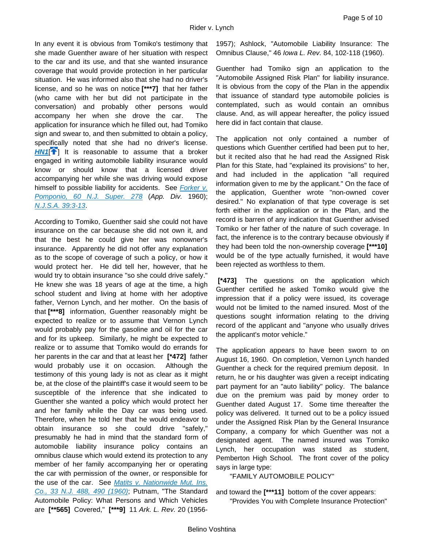In any event it is obvious from Tomiko's testimony that she made Guenther aware of her situation with respect to the car and its use, and that she wanted insurance coverage that would provide protection in her particular situation. He was informed also that she had no driver's license, and so he was on notice **[\*\*\*7]** that her father (who came with her but did not participate in the conversation) and probably other persons would accompany her when she drove the car. The application for insurance which he filled out, had Tomiko sign and swear to, and then submitted to obtain a policy, specifically noted that she had no driver's license. *[HN1](https://advance.lexis.com/api/document?collection=cases&id=urn:contentItem:3RRM-XXM0-003C-N4XS-00000-00&context=1000516&link=clscc1)*<sup>[4[\]](#page-0-0)</sup> It is reasonable to assume that a broker engaged in writing automobile liability insurance would know or should know that a licensed driver accompanying her while she was driving would expose himself to possible liability for accidents. See *[Forker v.](https://advance.lexis.com/api/document?collection=cases&id=urn:contentItem:3RRH-S990-003D-S1T2-00000-00&context=1000516)  [Pomponio, 60 N.J. Super.](https://advance.lexis.com/api/document?collection=cases&id=urn:contentItem:3RRH-S990-003D-S1T2-00000-00&context=1000516) [278](https://advance.lexis.com/api/document?collection=cases&id=urn:contentItem:3RRH-S990-003D-S1T2-00000-00&context=1000516)* (*App. Div.* 1960); *[N.J.S.A.](https://advance.lexis.com/api/document?collection=statutes-legislation&id=urn:contentItem:63FM-24J3-CH1B-T46H-00000-00&context=1000516) [39:3-13](https://advance.lexis.com/api/document?collection=statutes-legislation&id=urn:contentItem:63FM-24J3-CH1B-T46H-00000-00&context=1000516)*.

<span id="page-4-0"></span>According to Tomiko, Guenther said she could not have insurance on the car because she did not own it, and that the best he could give her was nonowner's insurance. Apparently he did not offer any explanation as to the scope of coverage of such a policy, or how it would protect her. He did tell her, however, that he would try to obtain insurance "so she could drive safely." He knew she was 18 years of age at the time, a high school student and living at home with her adoptive father, Vernon Lynch, and her mother. On the basis of that **[\*\*\*8]** information, Guenther reasonably might be expected to realize or to assume that Vernon Lynch would probably pay for the gasoline and oil for the car and for its upkeep. Similarly, he might be expected to realize or to assume that Tomiko would do errands for her parents in the car and that at least her **[\*472]** father would probably use it on occasion. Although the testimony of this young lady is not as clear as it might be, at the close of the plaintiff's case it would seem to be susceptible of the inference that she indicated to Guenther she wanted a policy which would protect her and her family while the Day car was being used. Therefore, when he told her that he would endeavor to obtain insurance so she could drive "safely," presumably he had in mind that the standard form of automobile liability insurance policy contains an omnibus clause which would extend its protection to any member of her family accompanying her or operating the car with permission of the owner, or responsible for the use of the car. See *[Matits v. Nationwide Mut. Ins.](https://advance.lexis.com/api/document?collection=cases&id=urn:contentItem:3RRM-Y480-003C-N09R-00000-00&context=1000516)  [Co., 33 N.J.](https://advance.lexis.com/api/document?collection=cases&id=urn:contentItem:3RRM-Y480-003C-N09R-00000-00&context=1000516) [488, 490 \(1960\)](https://advance.lexis.com/api/document?collection=cases&id=urn:contentItem:3RRM-Y480-003C-N09R-00000-00&context=1000516)*; Putnam, "The Standard Automobile Policy: What Persons and Which Vehicles are **[\*\*565]** Covered," **[\*\*\*9]** 11 *Ark. L. Rev.* 20 (1956-

1957); Ashlock, "Automobile Liability Insurance: The Omnibus Clause," 46 *Iowa L. Rev.* 84, 102-118 (1960).

Guenther had Tomiko sign an application to the "Automobile Assigned Risk Plan" for liability insurance. It is obvious from the copy of the Plan in the appendix that issuance of standard type automobile policies is contemplated, such as would contain an omnibus clause. And, as will appear hereafter, the policy issued here did in fact contain that clause.

The application not only contained a number of questions which Guenther certified had been put to her, but it recited also that he had read the Assigned Risk Plan for this State, had "explained its provisions" to her, and had included in the application "all required information given to me by the applicant." On the face of the application, Guenther wrote "non-owned cover desired." No explanation of that type coverage is set forth either in the application or in the Plan, and the record is barren of any indication that Guenther advised Tomiko or her father of the nature of such coverage. In fact, the inference is to the contrary because obviously if they had been told the non-ownership coverage **[\*\*\*10]** would be of the type actually furnished, it would have been rejected as worthless to them.

**[\*473]** The questions on the application which Guenther certified he asked Tomiko would give the impression that if a policy were issued, its coverage would not be limited to the named insured. Most of the questions sought information relating to the driving record of the applicant and "anyone who usually drives the applicant's motor vehicle."

The application appears to have been sworn to on August 16, 1960. On completion, Vernon Lynch handed Guenther a check for the required premium deposit. In return, he or his daughter was given a receipt indicating part payment for an "auto liability" policy. The balance due on the premium was paid by money order to Guenther dated August 17. Some time thereafter the policy was delivered. It turned out to be a policy issued under the Assigned Risk Plan by the General Insurance Company, a company for which Guenther was not a designated agent. The named insured was Tomiko Lynch, her occupation was stated as student, Pemberton High School. The front cover of the policy says in large type:

"FAMILY AUTOMOBILE POLICY"

and toward the **[\*\*\*11]** bottom of the cover appears: "Provides You with Complete Insurance Protection"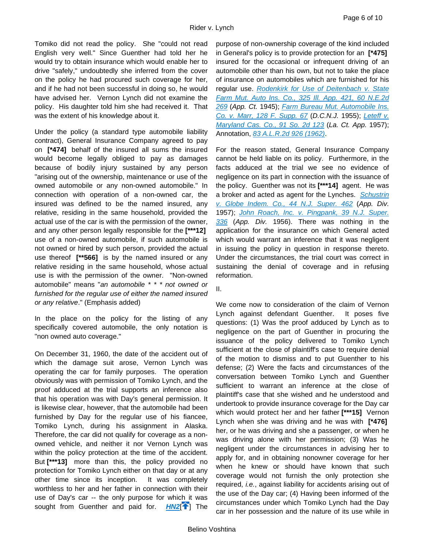Tomiko did not read the policy. She "could not read English very well." Since Guenther had told her he would try to obtain insurance which would enable her to drive "safely," undoubtedly she inferred from the cover on the policy he had procured such coverage for her, and if he had not been successful in doing so, he would have advised her. Vernon Lynch did not examine the policy. His daughter told him she had received it. That was the extent of his knowledge about it.

Under the policy (a standard type automobile liability contract), General Insurance Company agreed to pay on **[\*474]** behalf of the insured all sums the insured would become legally obliged to pay as damages because of bodily injury sustained by any person "arising out of the ownership, maintenance or use of the owned automobile or any non-owned automobile." In connection with operation of a non-owned car, the insured was defined to be the named insured, any relative, residing in the same household, provided the actual use of the car is with the permission of the owner, and any other person legally responsible for the **[\*\*\*12]** use of a non-owned automobile, if such automobile is not owned or hired by such person, provided the actual use thereof **[\*\*566]** is by the named insured or any relative residing in the same household, whose actual use is with the permission of the owner. "Non-owned automobile" means "*an automobile \* \* \* not owned or*  furnished for the regular use of either the named insured *or any relative*." (Emphasis added)

In the place on the policy for the listing of any specifically covered automobile, the only notation is "non owned auto coverage."

<span id="page-5-0"></span>On December 31, 1960, the date of the accident out of which the damage suit arose, Vernon Lynch was operating the car for family purposes. The operation obviously was with permission of Tomiko Lynch, and the proof adduced at the trial supports an inference also that his operation was with Day's general permission. It is likewise clear, however, that the automobile had been furnished by Day for the regular use of his fiancee, Tomiko Lynch, during his assignment in Alaska. Therefore, the car did not qualify for coverage as a nonowned vehicle, and neither it nor Vernon Lynch was within the policy protection at the time of the accident. But **[\*\*\*13]** more than this, the policy provided no protection for Tomiko Lynch either on that day or at any other time since its inception. It was completely worthless to her and her father in connection with their use of Day's car -- the only purpose for which it was sought from Guenther and paid for. **[HN2](https://advance.lexis.com/api/document?collection=cases&id=urn:contentItem:3RRM-XXM0-003C-N4XS-00000-00&context=1000516&link=clscc2)<sup>[\[](#page-1-0)4]</sup>** The

purpose of non-ownership coverage of the kind included in General's policy is to provide protection for an **[\*475]** insured for the occasional or infrequent driving of an automobile other than his own, but not to take the place of insurance on automobiles which are furnished for his regular use. *[Rodenkirk for Use of Deitenbach v. State](https://advance.lexis.com/api/document?collection=cases&id=urn:contentItem:3RRM-8210-003C-42VH-00000-00&context=1000516)  [Farm Mut. Auto Ins. Co., 325 Ill. App.](https://advance.lexis.com/api/document?collection=cases&id=urn:contentItem:3RRM-8210-003C-42VH-00000-00&context=1000516) [421, 60 N.E.2d](https://advance.lexis.com/api/document?collection=cases&id=urn:contentItem:3RRM-8210-003C-42VH-00000-00&context=1000516) [269](https://advance.lexis.com/api/document?collection=cases&id=urn:contentItem:3RRM-8210-003C-42VH-00000-00&context=1000516)* (*App. Ct.* 1945); *[Farm Bureau Mut. Automobile Ins.](https://advance.lexis.com/api/document?collection=cases&id=urn:contentItem:3S4V-S720-003B-23DH-00000-00&context=1000516)  [Co. v. Marr, 128 F. Supp.](https://advance.lexis.com/api/document?collection=cases&id=urn:contentItem:3S4V-S720-003B-23DH-00000-00&context=1000516) [67](https://advance.lexis.com/api/document?collection=cases&id=urn:contentItem:3S4V-S720-003B-23DH-00000-00&context=1000516)* (*D.C.N.J.* 1955); *[Leteff v.](https://advance.lexis.com/api/document?collection=cases&id=urn:contentItem:3RRJ-7GJ0-0044-C4NW-00000-00&context=1000516)  [Maryland Cas. Co., 91 So. 2d](https://advance.lexis.com/api/document?collection=cases&id=urn:contentItem:3RRJ-7GJ0-0044-C4NW-00000-00&context=1000516) [123](https://advance.lexis.com/api/document?collection=cases&id=urn:contentItem:3RRJ-7GJ0-0044-C4NW-00000-00&context=1000516)* (*La. Ct. App.* 1957); Annotation, *[83 A.L.R.2d](https://advance.lexis.com/api/document?collection=analytical-materials&id=urn:contentItem:5WMX-Y3N1-JKB3-X4NS-00000-00&context=1000516) [926 \(1962\)](https://advance.lexis.com/api/document?collection=analytical-materials&id=urn:contentItem:5WMX-Y3N1-JKB3-X4NS-00000-00&context=1000516)*.

For the reason stated, General Insurance Company cannot be held liable on its policy. Furthermore, in the facts adduced at the trial we see no evidence of negligence on its part in connection with the issuance of the policy. Guenther was not its **[\*\*\*14]** agent. He was a broker and acted as agent for the Lynches. *[Schustrin](https://advance.lexis.com/api/document?collection=cases&id=urn:contentItem:3RRH-SNH0-003D-S2WJ-00000-00&context=1000516)  [v. Globe Indem. Co., 44 N.J. Super.](https://advance.lexis.com/api/document?collection=cases&id=urn:contentItem:3RRH-SNH0-003D-S2WJ-00000-00&context=1000516) [462](https://advance.lexis.com/api/document?collection=cases&id=urn:contentItem:3RRH-SNH0-003D-S2WJ-00000-00&context=1000516)* (*App. Div.* 1957); *[John Roach, Inc. v. Pingpank, 39 N.J. Super.](https://advance.lexis.com/api/document?collection=cases&id=urn:contentItem:3RRH-STC0-003D-S39G-00000-00&context=1000516) [336](https://advance.lexis.com/api/document?collection=cases&id=urn:contentItem:3RRH-STC0-003D-S39G-00000-00&context=1000516)* (*App. Div.* 1956). There was nothing in the application for the insurance on which General acted which would warrant an inference that it was negligent in issuing the policy in question in response thereto. Under the circumstances, the trial court was correct in sustaining the denial of coverage and in refusing reformation.

#### II.

Rider v. Lynch

We come now to consideration of the claim of Vernon Lynch against defendant Guenther. It poses five questions: (1) Was the proof adduced by Lynch as to negligence on the part of Guenther in procuring the issuance of the policy delivered to Tomiko Lynch sufficient at the close of plaintiff's case to require denial of the motion to dismiss and to put Guenther to his defense; (2) Were the facts and circumstances of the conversation between Tomiko Lynch and Guenther sufficient to warrant an inference at the close of plaintiff's case that she wished and he understood and undertook to provide insurance coverage for the Day car which would protect her and her father **[\*\*\*15]** Vernon Lynch when she was driving and he was with **[\*476]** her, or he was driving and she a passenger, or when he was driving alone with her permission; (3) Was he negligent under the circumstances in advising her to apply for, and in obtaining nonowner coverage for her when he knew or should have known that such coverage would not furnish the only protection she required, *i.e.*, against liability for accidents arising out of the use of the Day car; (4) Having been informed of the circumstances under which Tomiko Lynch had the Day car in her possession and the nature of its use while in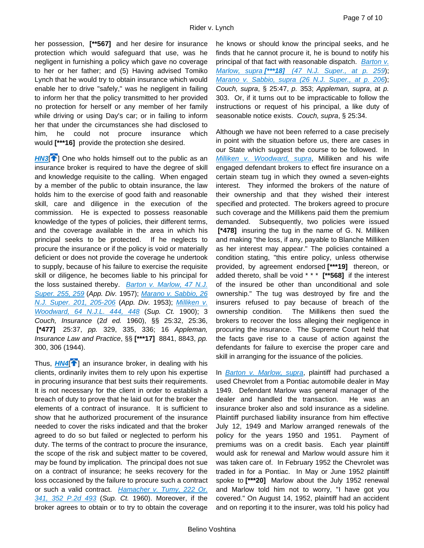her possession, **[\*\*567]** and her desire for insurance protection which would safeguard that use, was he negligent in furnishing a policy which gave no coverage to her or her father; and (5) Having advised Tomiko Lynch that he would try to obtain insurance which would enable her to drive "safely," was he negligent in failing to inform her that the policy transmitted to her provided no protection for herself or any member of her family while driving or using Day's car; or in failing to inform her that under the circumstances she had disclosed to him, he could not procure insurance which would **[\*\*\*16]** provide the protection she desired.

<span id="page-6-0"></span>**[HN3](https://advance.lexis.com/api/document?collection=cases&id=urn:contentItem:3RRM-XXM0-003C-N4XS-00000-00&context=1000516&link=clscc3)<sup>[1[\]](#page-1-1)</sup>** One who holds himself out to the public as an insurance broker is required to have the degree of skill and knowledge requisite to the calling. When engaged by a member of the public to obtain insurance, the law holds him to the exercise of good faith and reasonable skill, care and diligence in the execution of the commission. He is expected to possess reasonable knowledge of the types of policies, their different terms, and the coverage available in the area in which his principal seeks to be protected. If he neglects to procure the insurance or if the policy is void or materially deficient or does not provide the coverage he undertook to supply, because of his failure to exercise the requisite skill or diligence, he becomes liable to his principal for the loss sustained thereby. *[Barton v. Marlow, 47 N.J.](https://advance.lexis.com/api/document?collection=cases&id=urn:contentItem:3RRH-SKF0-003D-S2NS-00000-00&context=1000516)  [Super.](https://advance.lexis.com/api/document?collection=cases&id=urn:contentItem:3RRH-SKF0-003D-S2NS-00000-00&context=1000516) [255, 259](https://advance.lexis.com/api/document?collection=cases&id=urn:contentItem:3RRH-SKF0-003D-S2NS-00000-00&context=1000516)* (*App. Div.* 1957); *[Marano v. Sabbio, 26](https://advance.lexis.com/api/document?collection=cases&id=urn:contentItem:3RRH-T640-003D-S4HF-00000-00&context=1000516)  [N.J. Super.](https://advance.lexis.com/api/document?collection=cases&id=urn:contentItem:3RRH-T640-003D-S4HF-00000-00&context=1000516) [201, 205-206](https://advance.lexis.com/api/document?collection=cases&id=urn:contentItem:3RRH-T640-003D-S4HF-00000-00&context=1000516)* (*App. Div.* 1953); *[Milliken v.](https://advance.lexis.com/api/document?collection=cases&id=urn:contentItem:3RRH-WB30-003F-52W6-00000-00&context=1000516)  [Woodward, 64 N.J.L.](https://advance.lexis.com/api/document?collection=cases&id=urn:contentItem:3RRH-WB30-003F-52W6-00000-00&context=1000516) [444, 448](https://advance.lexis.com/api/document?collection=cases&id=urn:contentItem:3RRH-WB30-003F-52W6-00000-00&context=1000516)* (*Sup. Ct.* 1900); 3 *Couch, Insurance* (2*d ed.* 1960), §§ 25:32, 25:36, **[\*477]** 25:37, *pp.* 329, 335, 336; 16 *Appleman, Insurance Law and Practice*, §§ **[\*\*\*17]** 8841, 8843, *pp.* 300, 306 (1944).

<span id="page-6-1"></span>Thus, **[HN4](https://advance.lexis.com/api/document?collection=cases&id=urn:contentItem:3RRM-XXM0-003C-N4XS-00000-00&context=1000516&link=clscc4)<sup>[4[\]](#page-1-2)</sup> an insurance broker**, in dealing with his clients, ordinarily invites them to rely upon his expertise in procuring insurance that best suits their requirements. It is not necessary for the client in order to establish a breach of duty to prove that he laid out for the broker the elements of a contract of insurance. It is sufficient to show that he authorized procurement of the insurance needed to cover the risks indicated and that the broker agreed to do so but failed or neglected to perform his duty. The terms of the contract to procure the insurance, the scope of the risk and subject matter to be covered, may be found by implication. The principal does not sue on a contract of insurance; he seeks recovery for the loss occasioned by the failure to procure such a contract or such a valid contract. *[Hamacher v. Tumy, 222 Or.](https://advance.lexis.com/api/document?collection=cases&id=urn:contentItem:3RRN-0440-0046-71J3-00000-00&context=1000516) [341, 352 P.2d](https://advance.lexis.com/api/document?collection=cases&id=urn:contentItem:3RRN-0440-0046-71J3-00000-00&context=1000516) [493](https://advance.lexis.com/api/document?collection=cases&id=urn:contentItem:3RRN-0440-0046-71J3-00000-00&context=1000516)* (*Sup. Ct.* 1960). Moreover, if the broker agrees to obtain or to try to obtain the coverage

he knows or should know the principal seeks, and he finds that he cannot procure it, he is bound to notify his principal of that fact with reasonable dispatch. *[Barton v.](https://advance.lexis.com/api/document?collection=cases&id=urn:contentItem:3RRH-SKF0-003D-S2NS-00000-00&context=1000516)  [Marlow, supra](https://advance.lexis.com/api/document?collection=cases&id=urn:contentItem:3RRH-SKF0-003D-S2NS-00000-00&context=1000516) [\[\\*\\*\\*18\]](https://advance.lexis.com/api/document?collection=cases&id=urn:contentItem:3RRH-SKF0-003D-S2NS-00000-00&context=1000516) [\(47 N.J. Super., at p.](https://advance.lexis.com/api/document?collection=cases&id=urn:contentItem:3RRH-SKF0-003D-S2NS-00000-00&context=1000516) [259](https://advance.lexis.com/api/document?collection=cases&id=urn:contentItem:3RRH-SKF0-003D-S2NS-00000-00&context=1000516)*); *[Marano v. Sabbio, supra](https://advance.lexis.com/api/document?collection=cases&id=urn:contentItem:3RRH-T640-003D-S4HF-00000-00&context=1000516) [\(26 N.J. Super., at p.](https://advance.lexis.com/api/document?collection=cases&id=urn:contentItem:3RRH-T640-003D-S4HF-00000-00&context=1000516) [206](https://advance.lexis.com/api/document?collection=cases&id=urn:contentItem:3RRH-T640-003D-S4HF-00000-00&context=1000516)*); *Couch, supra*, § 25:47, *p.* 353; *Appleman, supra*, at *p.* 303. Or, if it turns out to be impracticable to follow the instructions or request of his principal, a like duty of seasonable notice exists. *Couch, supra*, § 25:34.

Although we have not been referred to a case precisely in point with the situation before us, there are cases in our State which suggest the course to be followed. In *[Milliken v. Woodward, supra](https://advance.lexis.com/api/document?collection=cases&id=urn:contentItem:3RRH-WB30-003F-52W6-00000-00&context=1000516)*, Milliken and his wife engaged defendant brokers to effect fire insurance on a certain steam tug in which they owned a seven-eights interest. They informed the brokers of the nature of their ownership and that they wished their interest specified and protected. The brokers agreed to procure such coverage and the Millikens paid them the premium demanded. Subsequently, two policies were issued **[\*478]** insuring the tug in the name of G. N. Milliken and making "the loss, if any, payable to Blanche Milliken as her interest may appear." The policies contained a condition stating, "this entire policy, unless otherwise provided, by agreement endorsed **[\*\*\*19]** thereon, or added thereto, shall be void \* \* \* **[\*\*568]** if the interest of the insured be other than unconditional and sole ownership." The tug was destroyed by fire and the insurers refused to pay because of breach of the ownership condition. The Millikens then sued the brokers to recover the loss alleging their negligence in procuring the insurance. The Supreme Court held that the facts gave rise to a cause of action against the defendants for failure to exercise the proper care and skill in arranging for the issuance of the policies.

In *[Barton v. Marlow, supra](https://advance.lexis.com/api/document?collection=cases&id=urn:contentItem:3RRH-SKF0-003D-S2NS-00000-00&context=1000516)*, plaintiff had purchased a used Chevrolet from a Pontiac automobile dealer in May 1949. Defendant Marlow was general manager of the dealer and handled the transaction. He was an insurance broker also and sold insurance as a sideline. Plaintiff purchased liability insurance from him effective July 12, 1949 and Marlow arranged renewals of the policy for the years 1950 and 1951. Payment of premiums was on a credit basis. Each year plaintiff would ask for renewal and Marlow would assure him it was taken care of. In February 1952 the Chevrolet was traded in for a Pontiac. In May or June 1952 plaintiff spoke to **[\*\*\*20]** Marlow about the July 1952 renewal and Marlow told him not to worry, "I have got you covered." On August 14, 1952, plaintiff had an accident and on reporting it to the insurer, was told his policy had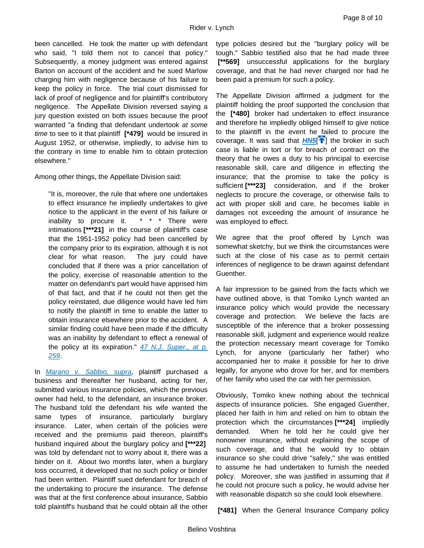been cancelled. He took the matter up with defendant who said, "I told them not to cancel that policy." Subsequently, a money judgment was entered against Barton on account of the accident and he sued Marlow charging him with negligence because of his failure to keep the policy in force. The trial court dismissed for lack of proof of negligence and for plaintiff's contributory negligence. The Appellate Division reversed saying a jury question existed on both issues because the proof warranted "a finding that defendant undertook *at some time* to see to it that plaintiff **[\*479]** would be insured in August 1952, or otherwise, impliedly, to advise him to the contrary in time to enable him to obtain protection elsewhere."

Among other things, the Appellate Division said:

"It is, moreover, the rule that where one undertakes to effect insurance he impliedly undertakes to give notice to the applicant in the event of his failure or inability to procure it. \* \* \* There were intimations **[\*\*\*21]** in the course of plaintiff's case that the 1951-1952 policy had been cancelled by the company prior to its expiration, although it is not clear for what reason. The jury could have concluded that if there was a prior cancellation of the policy, exercise of reasonable attention to the matter on defendant's part would have apprised him of that fact, and that if he could not then get the policy reinstated, due diligence would have led him to notify the plaintiff in time to enable the latter to obtain insurance elsewhere prior to the accident. A similar finding could have been made if the difficulty was an inability by defendant to effect a renewal of the policy at its expiration." *[47 N.J. Super., at p.](https://advance.lexis.com/api/document?collection=cases&id=urn:contentItem:3RRH-SKF0-003D-S2NS-00000-00&context=1000516) [259](https://advance.lexis.com/api/document?collection=cases&id=urn:contentItem:3RRH-SKF0-003D-S2NS-00000-00&context=1000516)*.

In *[Marano v. Sabbio, supra](https://advance.lexis.com/api/document?collection=cases&id=urn:contentItem:3RRH-T640-003D-S4HF-00000-00&context=1000516)*, plaintiff purchased a business and thereafter her husband, acting for her, submitted various insurance policies, which the previous owner had held, to the defendant, an insurance broker. The husband told the defendant his wife wanted the same types of insurance, particularly burglary insurance. Later, when certain of the policies were received and the premiums paid thereon, plaintiff's husband inquired about the burglary policy and **[\*\*\*22]** was told by defendant not to worry about it, there was a binder on it. About two months later, when a burglary loss occurred, it developed that no such policy or binder had been written. Plaintiff sued defendant for breach of the undertaking to procure the insurance. The defense was that at the first conference about insurance, Sabbio told plaintiff's husband that he could obtain all the other

type policies desired but the "burglary policy will be tough." Sabbio testified also that he had made three **[\*\*569]** unsuccessful applications for the burglary coverage, and that he had never charged nor had he been paid a premium for such a policy.

<span id="page-7-0"></span>The Appellate Division affirmed a judgment for the plaintiff holding the proof supported the conclusion that the **[\*480]** broker had undertaken to effect insurance and therefore he impliedly obliged himself to give notice to the plaintiff in the event he failed to procure the coverage. It was said that **[HN5](https://advance.lexis.com/api/document?collection=cases&id=urn:contentItem:3RRM-XXM0-003C-N4XS-00000-00&context=1000516&link=clscc5)<sup>[\[](#page-2-0)4]</sup> the broker in such** case is liable in tort or for breach of contract on the theory that he owes a duty to his principal to exercise reasonable skill, care and diligence in effecting the insurance; that the promise to take the policy is sufficient **[\*\*\*23]** consideration, and if the broker neglects to procure the coverage, or otherwise fails to act with proper skill and care, he becomes liable in damages not exceeding the amount of insurance he was employed to effect.

We agree that the proof offered by Lynch was somewhat sketchy, but we think the circumstances were such at the close of his case as to permit certain inferences of negligence to be drawn against defendant Guenther.

A fair impression to be gained from the facts which we have outlined above, is that Tomiko Lynch wanted an insurance policy which would provide the necessary coverage and protection. We believe the facts are susceptible of the inference that a broker possessing reasonable skill, judgment and experience would realize the protection necessary meant coverage for Tomiko Lynch, for anyone (particularly her father) who accompanied her to make it possible for her to drive legally, for anyone who drove for her, and for members of her family who used the car with her permission.

Obviously, Tomiko knew nothing about the technical aspects of insurance policies. She engaged Guenther, placed her faith in him and relied on him to obtain the protection which the circumstances **[\*\*\*24]** impliedly demanded. When he told her he could give her nonowner insurance, without explaining the scope of such coverage, and that he would try to obtain insurance so she could drive "safely," she was entitled to assume he had undertaken to furnish the needed policy. Moreover, she was justified in assuming that if he could not procure such a policy, he would advise her with reasonable dispatch so she could look elsewhere.

**[\*481]** When the General Insurance Company policy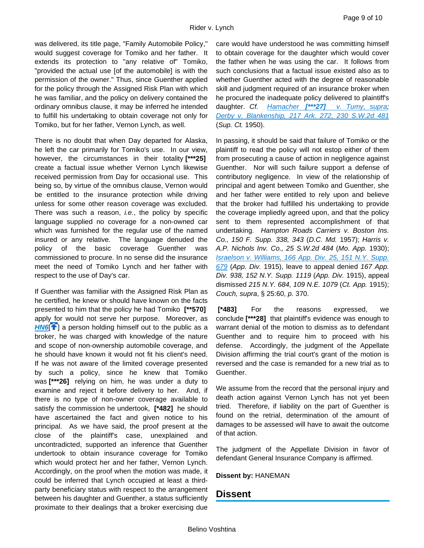was delivered, its title page, "Family Automobile Policy," would suggest coverage for Tomiko and her father. It extends its protection to "any relative of" Tomiko, "provided the actual use [of the automobile] is with the permission of the owner." Thus, since Guenther applied for the policy through the Assigned Risk Plan with which he was familiar, and the policy on delivery contained the ordinary omnibus clause, it may be inferred he intended to fulfill his undertaking to obtain coverage not only for Tomiko, but for her father, Vernon Lynch, as well.

There is no doubt that when Day departed for Alaska, he left the car primarily for Tomiko's use. In our view, however, the circumstances in their totality **[\*\*\*25]** create a factual issue whether Vernon Lynch likewise received permission from Day for occasional use. This being so, by virtue of the omnibus clause, Vernon would be entitled to the insurance protection while driving unless for some other reason coverage was excluded. There was such a reason, *i.e.*, the policy by specific language supplied no coverage for a non-owned car which was furnished for the regular use of the named insured or any relative. The language denuded the policy of the basic coverage Guenther was commissioned to procure. In no sense did the insurance meet the need of Tomiko Lynch and her father with respect to the use of Day's car.

<span id="page-8-0"></span>If Guenther was familiar with the Assigned Risk Plan as he certified, he knew or should have known on the facts presented to him that the policy he had Tomiko **[\*\*570]** apply for would not serve her purpose. Moreover, as **[HN6](https://advance.lexis.com/api/document?collection=cases&id=urn:contentItem:3RRM-XXM0-003C-N4XS-00000-00&context=1000516&link=clscc6)<sup>[4[\]](#page-2-1)</sup>** a person holding himself out to the public as a broker, he was charged with knowledge of the nature and scope of non-ownership automobile coverage, and he should have known it would not fit his client's need. If he was not aware of the limited coverage presented by such a policy, since he knew that Tomiko was **[\*\*\*26]** relying on him, he was under a duty to examine and reject it before delivery to her. And, if there is no type of non-owner coverage available to satisfy the commission he undertook, **[\*482]** he should have ascertained the fact and given notice to his principal. As we have said, the proof present at the close of the plaintiff's case, unexplained and uncontradicted, supported an inference that Guenther undertook to obtain insurance coverage for Tomiko which would protect her and her father, Vernon Lynch. Accordingly, on the proof when the motion was made, it could be inferred that Lynch occupied at least a thirdparty beneficiary status with respect to the arrangement between his daughter and Guenther, a status sufficiently proximate to their dealings that a broker exercising due

care would have understood he was committing himself to obtain coverage for the daughter which would cover the father when he was using the car. It follows from such conclusions that a factual issue existed also as to whether Guenther acted with the degree of reasonable skill and judgment required of an insurance broker when he procured the inadequate policy [deli](https://advance.lexis.com/api/document?collection=cases&id=urn:contentItem:3RRN-0440-0046-71J3-00000-00&context=1000516)vered to plaintiff's daughter. *Cf. [Hamacher](https://advance.lexis.com/api/document?collection=cases&id=urn:contentItem:3RRN-0440-0046-71J3-00000-00&context=1000516) [\[\\*\\*\\*27\]](https://advance.lexis.com/api/document?collection=cases&id=urn:contentItem:3RRN-0440-0046-71J3-00000-00&context=1000516) [v. Tumy, supra;](https://advance.lexis.com/api/document?collection=cases&id=urn:contentItem:3RRN-0440-0046-71J3-00000-00&context=1000516) [Derby v. Blankenship, 217](https://advance.lexis.com/api/document?collection=cases&id=urn:contentItem:3RRJ-21R0-003V-R03P-00000-00&context=1000516) [Ark.](https://advance.lexis.com/api/document?collection=cases&id=urn:contentItem:3RRJ-21R0-003V-R03P-00000-00&context=1000516) [272, 230 S.W.2d](https://advance.lexis.com/api/document?collection=cases&id=urn:contentItem:3RRJ-21R0-003V-R03P-00000-00&context=1000516) [481](https://advance.lexis.com/api/document?collection=cases&id=urn:contentItem:3RRJ-21R0-003V-R03P-00000-00&context=1000516)* (*Sup. Ct.* 1950).

In passing, it should be said that failure of Tomiko or the plaintiff to read the policy will not estop either of them from prosecuting a cause of action in negligence against Guenther. Nor will such failure support a defense of contributory negligence. In view of the relationship of principal and agent between Tomiko and Guenther, she and her father were entitled to rely upon and believe that the broker had fulfilled his undertaking to provide the coverage impliedly agreed upon, and that the policy sent to them represented accomplishment of that undertaking. *Hampton Roads Carriers v. Boston Ins. Co., 150 F. Supp. 338, 343* (*D.C. Md.* 1957); *Harris v. A.P. Nichols Inv. Co., 25 S.W.2d 484* (*Mo. App.* 1930); *[Israelson v. Williams, 166 App. Div.](https://advance.lexis.com/api/document?collection=cases&id=urn:contentItem:3RRR-7060-003D-V0ST-00000-00&context=1000516) [25, 151 N.Y. Supp.](https://advance.lexis.com/api/document?collection=cases&id=urn:contentItem:3RRR-7060-003D-V0ST-00000-00&context=1000516) [679](https://advance.lexis.com/api/document?collection=cases&id=urn:contentItem:3RRR-7060-003D-V0ST-00000-00&context=1000516)* (*App. Div.* 1915), leave to appeal denied *167 App. Div. 938, 152 N.Y. Supp. 1119* (*App. Div.* 1915), appeal dismissed *215 N.Y. 684, 109 N.E. 1079* (*Ct. App.* 1915); *Couch, supra*, § 25:60, *p.* 370.

**[\*483]** For the reasons expressed, we conclude **[\*\*\*28]** that plaintiff's evidence was enough to warrant denial of the motion to dismiss as to defendant Guenther and to require him to proceed with his defense. Accordingly, the judgment of the Appellate Division affirming the trial court's grant of the motion is reversed and the case is remanded for a new trial as to Guenther.

We assume from the record that the personal injury and death action against Vernon Lynch has not yet been tried. Therefore, if liability on the part of Guenther is found on the retrial, determination of the amount of damages to be assessed will have to await the outcome of that action.

The judgment of the Appellate Division in favor of defendant General Insurance Company is affirmed.

#### **Dissent by:** HANEMAN

## **Dissent**